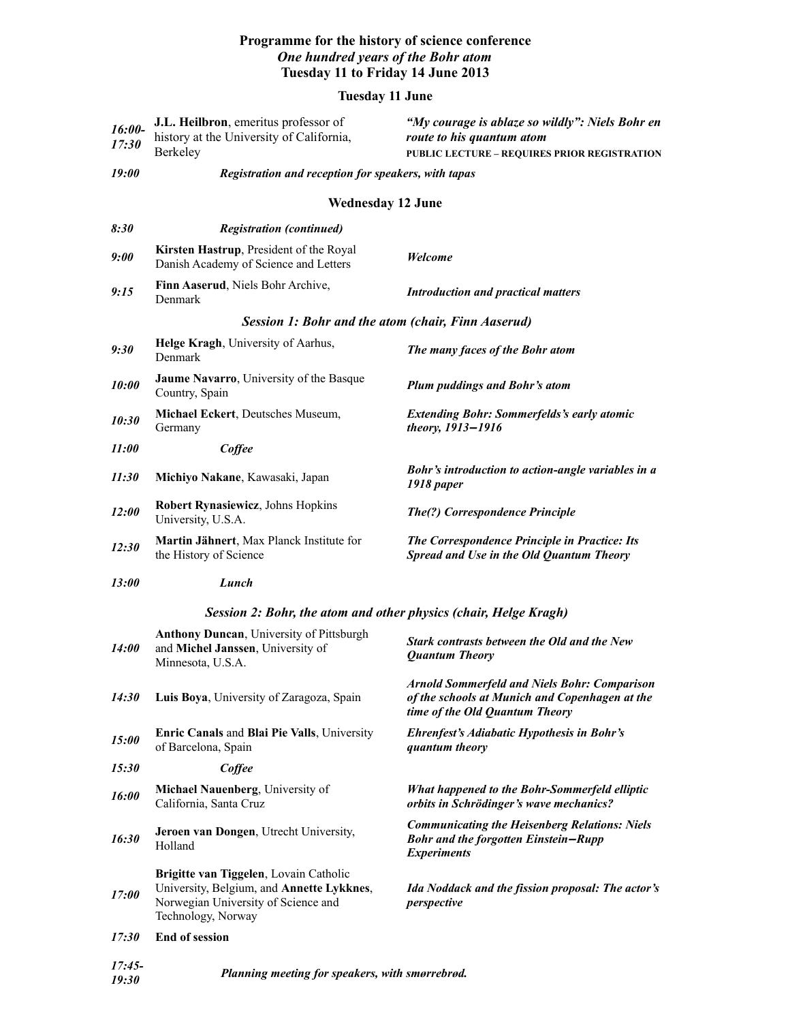## **Programme for the history of science conference** *One hundred years of the Bohr atom* **Tuesday 11 to Friday 14 June 2013**

## **Tuesday 11 June**

| $16:00-$<br>17:30                                                | J.L. Heilbron, emeritus professor of<br>history at the University of California,<br>Berkeley                                                     | "My courage is ablaze so wildly": Niels Bohr en<br>route to his quantum atom<br>PUBLIC LECTURE - REQUIRES PRIOR REGISTRATION            |  |
|------------------------------------------------------------------|--------------------------------------------------------------------------------------------------------------------------------------------------|-----------------------------------------------------------------------------------------------------------------------------------------|--|
| <i><b>19:00</b></i>                                              | Registration and reception for speakers, with tapas                                                                                              |                                                                                                                                         |  |
| <b>Wednesday 12 June</b>                                         |                                                                                                                                                  |                                                                                                                                         |  |
| 8:30                                                             | <b>Registration (continued)</b>                                                                                                                  |                                                                                                                                         |  |
| 9:00                                                             | Kirsten Hastrup, President of the Royal<br>Danish Academy of Science and Letters                                                                 | Welcome                                                                                                                                 |  |
| 9:15                                                             | Finn Aaserud, Niels Bohr Archive,<br>Denmark                                                                                                     | <b>Introduction and practical matters</b>                                                                                               |  |
| Session 1: Bohr and the atom (chair, Finn Aaserud)               |                                                                                                                                                  |                                                                                                                                         |  |
| 9:30                                                             | Helge Kragh, University of Aarhus,<br>Denmark                                                                                                    | The many faces of the Bohr atom                                                                                                         |  |
| 10:00                                                            | Jaume Navarro, University of the Basque<br>Country, Spain                                                                                        | <b>Plum puddings and Bohr's atom</b>                                                                                                    |  |
| 10:30                                                            | Michael Eckert, Deutsches Museum,<br>Germany                                                                                                     | <b>Extending Bohr: Sommerfelds's early atomic</b><br>theory, 1913-1916                                                                  |  |
| <i>11:00</i>                                                     | Coffee                                                                                                                                           |                                                                                                                                         |  |
| 11:30                                                            | Michiyo Nakane, Kawasaki, Japan                                                                                                                  | Bohr's introduction to action-angle variables in a<br>1918 paper                                                                        |  |
| <i>12:00</i>                                                     | Robert Rynasiewicz, Johns Hopkins<br>University, U.S.A.                                                                                          | The(?) Correspondence Principle                                                                                                         |  |
| 12:30                                                            | Martin Jähnert, Max Planck Institute for<br>the History of Science                                                                               | The Correspondence Principle in Practice: Its<br>Spread and Use in the Old Quantum Theory                                               |  |
| <i>13:00</i>                                                     | Lunch                                                                                                                                            |                                                                                                                                         |  |
| Session 2: Bohr, the atom and other physics (chair, Helge Kragh) |                                                                                                                                                  |                                                                                                                                         |  |
| <i>14:00</i>                                                     | <b>Anthony Duncan, University of Pittsburgh</b><br>and Michel Janssen, University of<br>Minnesota, U.S.A.                                        | Stark contrasts between the Old and the New<br><b>Quantum Theory</b>                                                                    |  |
| 14:30                                                            | Luis Boya, University of Zaragoza, Spain                                                                                                         | <b>Arnold Sommerfeld and Niels Bohr: Comparison</b><br>of the schools at Munich and Copenhagen at the<br>time of the Old Quantum Theory |  |
| <i>15:00</i>                                                     | Enric Canals and Blai Pie Valls, University<br>of Barcelona, Spain                                                                               | <b>Ehrenfest's Adiabatic Hypothesis in Bohr's</b><br>quantum theory                                                                     |  |
| 15:30                                                            | Coffee                                                                                                                                           |                                                                                                                                         |  |
| 16:00                                                            | Michael Nauenberg, University of<br>California, Santa Cruz                                                                                       | What happened to the Bohr-Sommerfeld elliptic<br>orbits in Schrödinger's wave mechanics?                                                |  |
| 16:30                                                            | Jeroen van Dongen, Utrecht University,<br>Holland                                                                                                | <b>Communicating the Heisenberg Relations: Niels</b><br><b>Bohr and the forgotten Einstein-Rupp</b><br><i><b>Experiments</b></i>        |  |
| <i>17:00</i>                                                     | Brigitte van Tiggelen, Lovain Catholic<br>University, Belgium, and Annette Lykknes,<br>Norwegian University of Science and<br>Technology, Norway | Ida Noddack and the fission proposal: The actor's<br>perspective                                                                        |  |
| 17:30                                                            | <b>End of session</b>                                                                                                                            |                                                                                                                                         |  |
| $17:45-$<br>19:30                                                | Planning meeting for speakers, with smørrebrød.                                                                                                  |                                                                                                                                         |  |